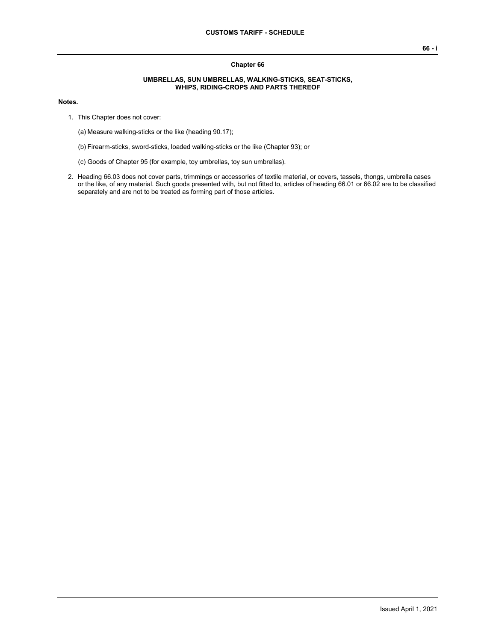## **UMBRELLAS, SUN UMBRELLAS, WALKING-STICKS, SEAT-STICKS, WHIPS, RIDING-CROPS AND PARTS THEREOF**

## **Notes.**

- 1. This Chapter does not cover:
	- (a) Measure walking-sticks or the like (heading 90.17);
	- (b) Firearm-sticks, sword-sticks, loaded walking-sticks or the like (Chapter 93); or
	- (c) Goods of Chapter 95 (for example, toy umbrellas, toy sun umbrellas).
- 2. Heading 66.03 does not cover parts, trimmings or accessories of textile material, or covers, tassels, thongs, umbrella cases or the like, of any material. Such goods presented with, but not fitted to, articles of heading 66.01 or 66.02 are to be classified separately and are not to be treated as forming part of those articles.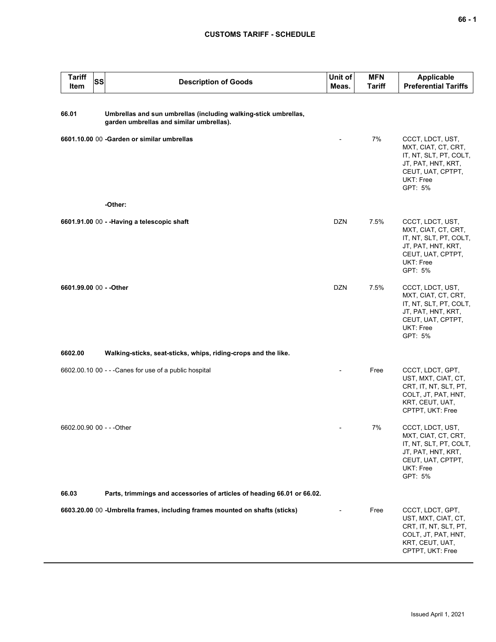## **CUSTOMS TARIFF - SCHEDULE**

| <b>Tariff</b><br>Item     | SS | <b>Description of Goods</b>                                                                                 | Unit of<br>Meas. | <b>MFN</b><br><b>Tariff</b> | <b>Applicable</b><br><b>Preferential Tariffs</b>                                                                                     |
|---------------------------|----|-------------------------------------------------------------------------------------------------------------|------------------|-----------------------------|--------------------------------------------------------------------------------------------------------------------------------------|
| 66.01                     |    | Umbrellas and sun umbrellas (including walking-stick umbrellas,<br>garden umbrellas and similar umbrellas). |                  |                             |                                                                                                                                      |
|                           |    | 6601.10.00 00 - Garden or similar umbrellas                                                                 |                  | 7%                          | CCCT, LDCT, UST,<br>MXT, CIAT, CT, CRT,<br>IT, NT, SLT, PT, COLT,<br>JT, PAT, HNT, KRT,<br>CEUT, UAT, CPTPT,<br>UKT: Free<br>GPT: 5% |
|                           |    | -Other:                                                                                                     |                  |                             |                                                                                                                                      |
|                           |    | 6601.91.00 00 - - Having a telescopic shaft                                                                 | DZN              | 7.5%                        | CCCT, LDCT, UST,<br>MXT, CIAT, CT, CRT,<br>IT, NT, SLT, PT, COLT,<br>JT, PAT, HNT, KRT,<br>CEUT, UAT, CPTPT,<br>UKT: Free<br>GPT: 5% |
| 6601.99.00 00 - - Other   |    |                                                                                                             | DZN              | 7.5%                        | CCCT, LDCT, UST,<br>MXT, CIAT, CT, CRT,<br>IT, NT, SLT, PT, COLT,<br>JT, PAT, HNT, KRT,<br>CEUT, UAT, CPTPT,<br>UKT: Free<br>GPT: 5% |
| 6602.00                   |    | Walking-sticks, seat-sticks, whips, riding-crops and the like.                                              |                  |                             |                                                                                                                                      |
|                           |    | 6602.00.10 00 - - - Canes for use of a public hospital                                                      |                  | Free                        | CCCT, LDCT, GPT,<br>UST, MXT, CIAT, CT,<br>CRT, IT, NT, SLT, PT,<br>COLT, JT, PAT, HNT,<br>KRT, CEUT, UAT,<br>CPTPT, UKT: Free       |
| 6602.00.90 00 - - - Other |    |                                                                                                             |                  | 7%                          | CCCT, LDCT, UST,<br>MXT, CIAT, CT, CRT,<br>IT, NT, SLT, PT, COLT,<br>JT, PAT, HNT, KRT,<br>CEUT, UAT, CPTPT,<br>UKT: Free<br>GPT: 5% |
| 66.03                     |    | Parts, trimmings and accessories of articles of heading 66.01 or 66.02.                                     |                  |                             |                                                                                                                                      |
|                           |    | 6603.20.00 00 -Umbrella frames, including frames mounted on shafts (sticks)                                 |                  | Free                        | CCCT, LDCT, GPT,<br>UST, MXT, CIAT, CT,<br>CRT, IT, NT, SLT, PT,<br>COLT, JT, PAT, HNT,<br>KRT, CEUT, UAT,<br>CPTPT, UKT: Free       |